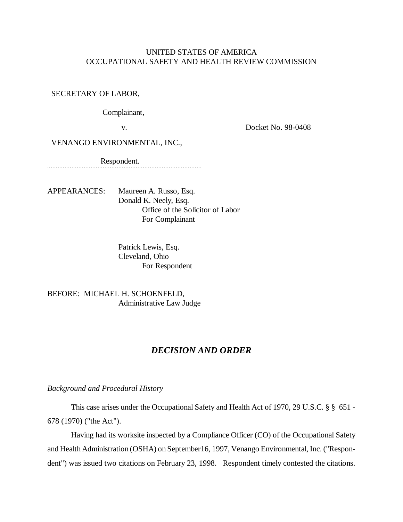## UNITED STATES OF AMERICA OCCUPATIONAL SAFETY AND HEALTH REVIEW COMMISSION

SECRETARY OF LABOR,

Complainant,

v. Docket No. 98-0408

VENANGO ENVIRONMENTAL, INC.,

Respondent.

APPEARANCES: Maureen A. Russo, Esq. Donald K. Neely, Esq. Office of the Solicitor of Labor For Complainant

> Patrick Lewis, Esq. Cleveland, Ohio For Respondent

BEFORE: MICHAEL H. SCHOENFELD, Administrative Law Judge

## *DECISION AND ORDER*

*Background and Procedural History*

This case arises under the Occupational Safety and Health Act of 1970, 29 U.S.C. § § 651 - 678 (1970) ("the Act").

Having had its worksite inspected by a Compliance Officer (CO) of the Occupational Safety and Health Administration (OSHA) on September16, 1997, Venango Environmental, Inc. ("Respondent") was issued two citations on February 23, 1998. Respondent timely contested the citations.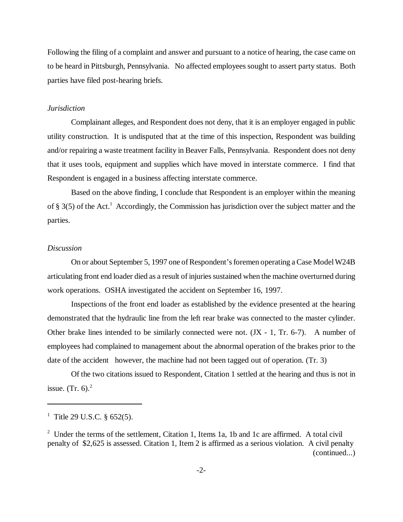Following the filing of a complaint and answer and pursuant to a notice of hearing, the case came on to be heard in Pittsburgh, Pennsylvania. No affected employees sought to assert party status. Both parties have filed post-hearing briefs.

### *Jurisdiction*

Complainant alleges, and Respondent does not deny, that it is an employer engaged in public utility construction. It is undisputed that at the time of this inspection, Respondent was building and/or repairing a waste treatment facility in Beaver Falls, Pennsylvania. Respondent does not deny that it uses tools, equipment and supplies which have moved in interstate commerce. I find that Respondent is engaged in a business affecting interstate commerce.

Based on the above finding, I conclude that Respondent is an employer within the meaning of § 3(5) of the Act.<sup>1</sup> Accordingly, the Commission has jurisdiction over the subject matter and the parties.

#### *Discussion*

On or about September 5, 1997 one of Respondent's foremen operating a Case Model W24B articulating front end loader died as a result of injuries sustained when the machine overturned during work operations. OSHA investigated the accident on September 16, 1997.

Inspections of the front end loader as established by the evidence presented at the hearing demonstrated that the hydraulic line from the left rear brake was connected to the master cylinder. Other brake lines intended to be similarly connected were not.  $($ J $X - 1$ , Tr. 6-7 $)$ . A number of employees had complained to management about the abnormal operation of the brakes prior to the date of the accident however, the machine had not been tagged out of operation. (Tr. 3)

Of the two citations issued to Respondent, Citation 1 settled at the hearing and thus is not in issue. (Tr.  $6$ ).<sup>2</sup>

<sup>&</sup>lt;sup>1</sup> Title 29 U.S.C.  $\S 652(5)$ .

<sup>&</sup>lt;sup>2</sup> Under the terms of the settlement, Citation 1, Items 1a, 1b and 1c are affirmed. A total civil penalty of \$2,625 is assessed. Citation 1, Item 2 is affirmed as a serious violation. A civil penalty (continued...)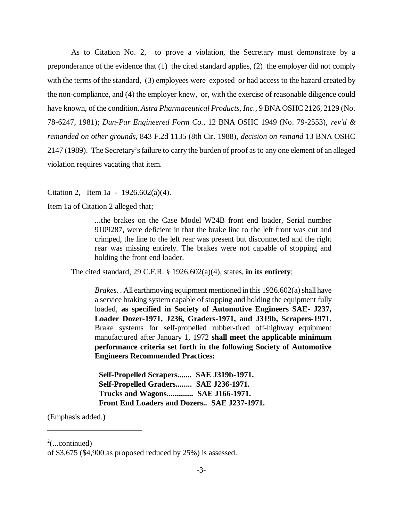As to Citation No. 2, to prove a violation, the Secretary must demonstrate by a preponderance of the evidence that (1) the cited standard applies, (2) the employer did not comply with the terms of the standard, (3) employees were exposed or had access to the hazard created by the non-compliance, and (4) the employer knew, or, with the exercise of reasonable diligence could have known, of the condition. *Astra Pharmaceutical Products, Inc.*, 9 BNA OSHC 2126, 2129 (No. 78-6247, 1981); *Dun-Par Engineered Form Co.*, 12 BNA OSHC 1949 (No. 79-2553), *rev'd & remanded on other grounds*, 843 F.2d 1135 (8th Cir. 1988), *decision on remand* 13 BNA OSHC 2147 (1989). The Secretary's failure to carry the burden of proof as to any one element of an alleged violation requires vacating that item.

Citation 2, Item 1a -  $1926.602(a)(4)$ .

Item 1a of Citation 2 alleged that;

...the brakes on the Case Model W24B front end loader, Serial number 9109287, were deficient in that the brake line to the left front was cut and crimped, the line to the left rear was present but disconnected and the right rear was missing entirely. The brakes were not capable of stopping and holding the front end loader.

The cited standard, 29 C.F.R. § 1926.602(a)(4), states, **in its entirety**;

*Brakes*. . All earthmoving equipment mentioned in this 1926.602(a) shall have a service braking system capable of stopping and holding the equipment fully loaded, **as specified in Society of Automotive Engineers SAE- J237, Loader Dozer-1971, J236, Graders-1971, and J319b, Scrapers-1971.** Brake systems for self-propelled rubber-tired off-highway equipment manufactured after January 1, 1972 **shall meet the applicable minimum performance criteria set forth in the following Society of Automotive Engineers Recommended Practices:**

 **Self-Propelled Scrapers....... SAE J319b-1971. Self-Propelled Graders........ SAE J236-1971. Trucks and Wagons............. SAE J166-1971. Front End Loaders and Dozers.. SAE J237-1971.**

(Emphasis added.)

 $2$ (...continued)

of \$3,675 (\$4,900 as proposed reduced by 25%) is assessed.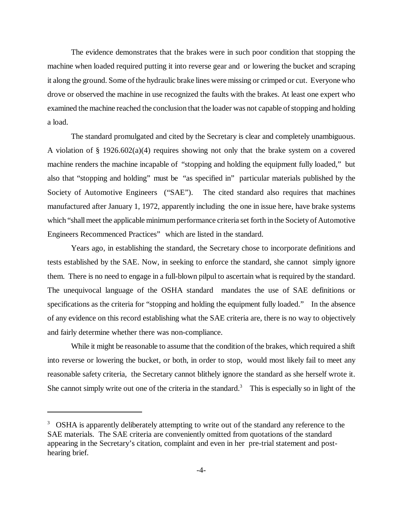The evidence demonstrates that the brakes were in such poor condition that stopping the machine when loaded required putting it into reverse gear and or lowering the bucket and scraping it along the ground. Some of the hydraulic brake lines were missing or crimped or cut. Everyone who drove or observed the machine in use recognized the faults with the brakes. At least one expert who examined the machine reached the conclusion that the loader was not capable of stopping and holding a load.

The standard promulgated and cited by the Secretary is clear and completely unambiguous. A violation of § 1926.602(a)(4) requires showing not only that the brake system on a covered machine renders the machine incapable of "stopping and holding the equipment fully loaded," but also that "stopping and holding" must be "as specified in" particular materials published by the Society of Automotive Engineers ("SAE"). The cited standard also requires that machines manufactured after January 1, 1972, apparently including the one in issue here, have brake systems which "shall meet the applicable minimum performance criteria set forth in the Society of Automotive Engineers Recommenced Practices" which are listed in the standard.

Years ago, in establishing the standard, the Secretary chose to incorporate definitions and tests established by the SAE. Now, in seeking to enforce the standard, she cannot simply ignore them. There is no need to engage in a full-blown pilpul to ascertain what is required by the standard. The unequivocal language of the OSHA standard mandates the use of SAE definitions or specifications as the criteria for "stopping and holding the equipment fully loaded." In the absence of any evidence on this record establishing what the SAE criteria are, there is no way to objectively and fairly determine whether there was non-compliance.

While it might be reasonable to assume that the condition of the brakes, which required a shift into reverse or lowering the bucket, or both, in order to stop, would most likely fail to meet any reasonable safety criteria, the Secretary cannot blithely ignore the standard as she herself wrote it. She cannot simply write out one of the criteria in the standard.<sup>3</sup> This is especially so in light of the

<sup>&</sup>lt;sup>3</sup> OSHA is apparently deliberately attempting to write out of the standard any reference to the SAE materials. The SAE criteria are conveniently omitted from quotations of the standard appearing in the Secretary's citation, complaint and even in her pre-trial statement and posthearing brief.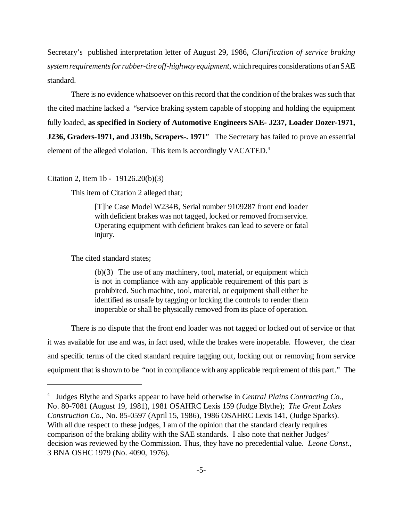Secretary's published interpretation letter of August 29, 1986, *Clarification of service braking system requirements for rubber-tire off-highway equipment*, which requires considerations of an SAE standard.

There is no evidence whatsoever on this record that the condition of the brakes was such that the cited machine lacked a "service braking system capable of stopping and holding the equipment fully loaded, **as specified in Society of Automotive Engineers SAE- J237, Loader Dozer-1971, J236, Graders-1971, and J319b, Scrapers-. 1971**" The Secretary has failed to prove an essential element of the alleged violation. This item is accordingly VACATED.<sup>4</sup>

### Citation 2, Item 1b - 19126.20(b)(3)

This item of Citation 2 alleged that;

[T]he Case Model W234B, Serial number 9109287 front end loader with deficient brakes was not tagged, locked or removed from service. Operating equipment with deficient brakes can lead to severe or fatal injury.

The cited standard states;

(b)(3) The use of any machinery, tool, material, or equipment which is not in compliance with any applicable requirement of this part is prohibited. Such machine, tool, material, or equipment shall either be identified as unsafe by tagging or locking the controls to render them inoperable or shall be physically removed from its place of operation.

There is no dispute that the front end loader was not tagged or locked out of service or that it was available for use and was, in fact used, while the brakes were inoperable. However, the clear and specific terms of the cited standard require tagging out, locking out or removing from service equipment that is shown to be "not in compliance with any applicable requirement of this part." The

<sup>4</sup> Judges Blythe and Sparks appear to have held otherwise in *Central Plains Contracting Co.,* No. 80-7081 (August 19, 1981), 1981 OSAHRC Lexis 159 (Judge Blythe); *The Great Lakes Construction Co.*, No. 85-0597 (April 15, 1986), 1986 OSAHRC Lexis 141, (Judge Sparks). With all due respect to these judges, I am of the opinion that the standard clearly requires comparison of the braking ability with the SAE standards. I also note that neither Judges' decision was reviewed by the Commission. Thus, they have no precedential value. *Leone Const.*, 3 BNA OSHC 1979 (No. 4090, 1976).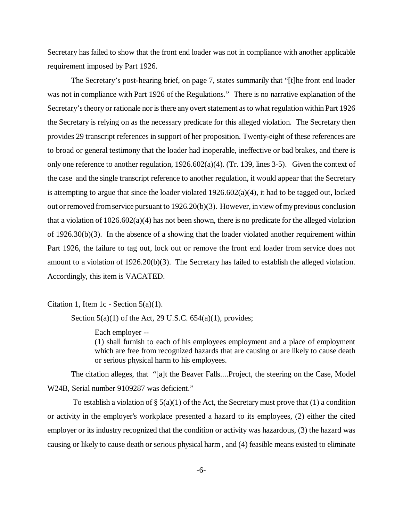Secretary has failed to show that the front end loader was not in compliance with another applicable requirement imposed by Part 1926.

The Secretary's post-hearing brief, on page 7, states summarily that "[t]he front end loader was not in compliance with Part 1926 of the Regulations." There is no narrative explanation of the Secretary's theory or rationale nor is there any overt statement as to what regulation within Part 1926 the Secretary is relying on as the necessary predicate for this alleged violation. The Secretary then provides 29 transcript references in support of her proposition. Twenty-eight of these references are to broad or general testimony that the loader had inoperable, ineffective or bad brakes, and there is only one reference to another regulation,  $1926.602(a)(4)$ . (Tr. 139, lines 3-5). Given the context of the case and the single transcript reference to another regulation, it would appear that the Secretary is attempting to argue that since the loader violated 1926.602(a)(4), it had to be tagged out, locked out or removed from service pursuant to 1926.20(b)(3). However, in view of my previous conclusion that a violation of  $1026.602(a)(4)$  has not been shown, there is no predicate for the alleged violation of 1926.30(b)(3). In the absence of a showing that the loader violated another requirement within Part 1926, the failure to tag out, lock out or remove the front end loader from service does not amount to a violation of 1926.20(b)(3). The Secretary has failed to establish the alleged violation. Accordingly, this item is VACATED.

Citation 1, Item 1c - Section  $5(a)(1)$ .

Section  $5(a)(1)$  of the Act, 29 U.S.C.  $654(a)(1)$ , provides;

Each employer --

(1) shall furnish to each of his employees employment and a place of employment which are free from recognized hazards that are causing or are likely to cause death or serious physical harm to his employees.

The citation alleges, that "[a]t the Beaver Falls....Project, the steering on the Case, Model W24B, Serial number 9109287 was deficient."

To establish a violation of  $\S$  5(a)(1) of the Act, the Secretary must prove that (1) a condition or activity in the employer's workplace presented a hazard to its employees, (2) either the cited employer or its industry recognized that the condition or activity was hazardous, (3) the hazard was causing or likely to cause death or serious physical harm , and (4) feasible means existed to eliminate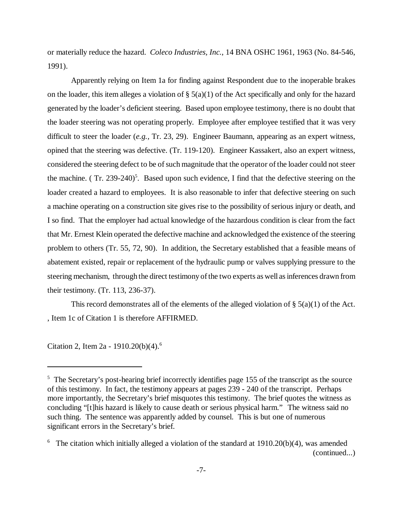or materially reduce the hazard. *Coleco Industries, Inc.*, 14 BNA OSHC 1961, 1963 (No. 84-546, 1991).

Apparently relying on Item 1a for finding against Respondent due to the inoperable brakes on the loader, this item alleges a violation of  $\S(5(a)(1))$  of the Act specifically and only for the hazard generated by the loader's deficient steering. Based upon employee testimony, there is no doubt that the loader steering was not operating properly. Employee after employee testified that it was very difficult to steer the loader (*e.g.,* Tr. 23, 29). Engineer Baumann, appearing as an expert witness, opined that the steering was defective. (Tr. 119-120). Engineer Kassakert, also an expert witness, considered the steering defect to be of such magnitude that the operator of the loader could not steer the machine. (Tr. 239-240)<sup>5</sup>. Based upon such evidence, I find that the defective steering on the loader created a hazard to employees. It is also reasonable to infer that defective steering on such a machine operating on a construction site gives rise to the possibility of serious injury or death, and I so find. That the employer had actual knowledge of the hazardous condition is clear from the fact that Mr. Ernest Klein operated the defective machine and acknowledged the existence of the steering problem to others (Tr. 55, 72, 90). In addition, the Secretary established that a feasible means of abatement existed, repair or replacement of the hydraulic pump or valves supplying pressure to the steering mechanism, through the direct testimony of the two experts as well as inferences drawn from their testimony. (Tr. 113, 236-37).

This record demonstrates all of the elements of the alleged violation of  $\S$  5(a)(1) of the Act. , Item 1c of Citation 1 is therefore AFFIRMED.

Citation 2, Item 2a - 1910.20(b)(4).<sup>6</sup>

<sup>&</sup>lt;sup>5</sup> The Secretary's post-hearing brief incorrectly identifies page 155 of the transcript as the source of this testimony. In fact, the testimony appears at pages 239 - 240 of the transcript. Perhaps more importantly, the Secretary's brief misquotes this testimony. The brief quotes the witness as concluding "[t]his hazard is likely to cause death or serious physical harm." The witness said no such thing. The sentence was apparently added by counsel. This is but one of numerous significant errors in the Secretary's brief.

<sup>&</sup>lt;sup>6</sup> The citation which initially alleged a violation of the standard at  $1910.20(b)(4)$ , was amended (continued...)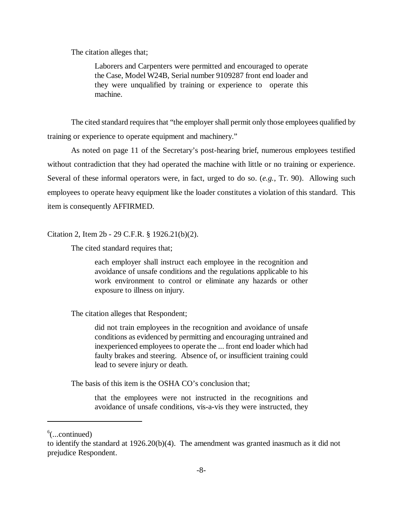The citation alleges that;

Laborers and Carpenters were permitted and encouraged to operate the Case, Model W24B, Serial number 9109287 front end loader and they were unqualified by training or experience to operate this machine.

The cited standard requires that "the employer shall permit only those employees qualified by training or experience to operate equipment and machinery."

As noted on page 11 of the Secretary's post-hearing brief, numerous employees testified without contradiction that they had operated the machine with little or no training or experience. Several of these informal operators were, in fact, urged to do so. (*e.g.*, Tr. 90). Allowing such employees to operate heavy equipment like the loader constitutes a violation of this standard. This item is consequently AFFIRMED.

Citation 2, Item 2b - 29 C.F.R. § 1926.21(b)(2).

The cited standard requires that;

each employer shall instruct each employee in the recognition and avoidance of unsafe conditions and the regulations applicable to his work environment to control or eliminate any hazards or other exposure to illness on injury.

The citation alleges that Respondent;

did not train employees in the recognition and avoidance of unsafe conditions as evidenced by permitting and encouraging untrained and inexperienced employees to operate the ... front end loader which had faulty brakes and steering. Absence of, or insufficient training could lead to severe injury or death.

The basis of this item is the OSHA CO's conclusion that;

that the employees were not instructed in the recognitions and avoidance of unsafe conditions, vis-a-vis they were instructed, they

 $6$ (...continued)

to identify the standard at 1926.20(b)(4). The amendment was granted inasmuch as it did not prejudice Respondent.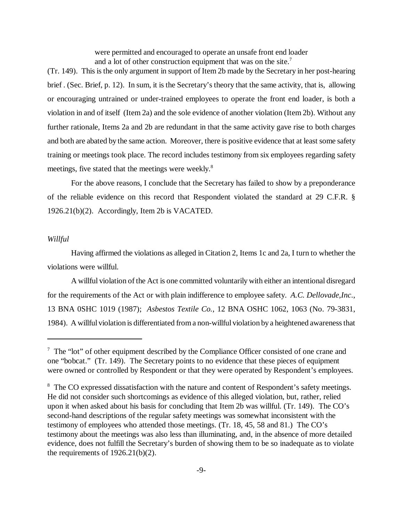were permitted and encouraged to operate an unsafe front end loader and a lot of other construction equipment that was on the site.<sup>7</sup>

(Tr. 149). This is the only argument in support of Item 2b made by the Secretary in her post-hearing brief . (Sec. Brief, p. 12). In sum, it is the Secretary's theory that the same activity, that is, allowing or encouraging untrained or under-trained employees to operate the front end loader, is both a violation in and of itself (Item 2a) and the sole evidence of another violation (Item 2b). Without any further rationale, Items 2a and 2b are redundant in that the same activity gave rise to both charges and both are abated by the same action. Moreover, there is positive evidence that at least some safety training or meetings took place. The record includes testimony from six employees regarding safety meetings, five stated that the meetings were weekly.<sup>8</sup>

For the above reasons, I conclude that the Secretary has failed to show by a preponderance of the reliable evidence on this record that Respondent violated the standard at 29 C.F.R. § 1926.21(b)(2). Accordingly, Item 2b is VACATED.

### *Willful*

Having affirmed the violations as alleged in Citation 2, Items 1c and 2a, I turn to whether the violations were willful.

A willful violation of the Act is one committed voluntarily with either an intentional disregard for the requirements of the Act or with plain indifference to employee safety. *A.C. Dellovade,Inc*., 13 BNA 0SHC 1019 (1987); *Asbestos Textile Co.*, 12 BNA OSHC 1062, 1063 (No. 79-3831, 1984). A willful violation is differentiated from a non-willful violation by a heightened awareness that

 $7$  The "lot" of other equipment described by the Compliance Officer consisted of one crane and one "bobcat." (Tr. 149). The Secretary points to no evidence that these pieces of equipment were owned or controlled by Respondent or that they were operated by Respondent's employees.

<sup>&</sup>lt;sup>8</sup> The CO expressed dissatisfaction with the nature and content of Respondent's safety meetings. He did not consider such shortcomings as evidence of this alleged violation, but, rather, relied upon it when asked about his basis for concluding that Item 2b was willful. (Tr. 149). The CO's second-hand descriptions of the regular safety meetings was somewhat inconsistent with the testimony of employees who attended those meetings. (Tr. 18, 45, 58 and 81.) The CO's testimony about the meetings was also less than illuminating, and, in the absence of more detailed evidence, does not fulfill the Secretary's burden of showing them to be so inadequate as to violate the requirements of  $1926.21(b)(2)$ .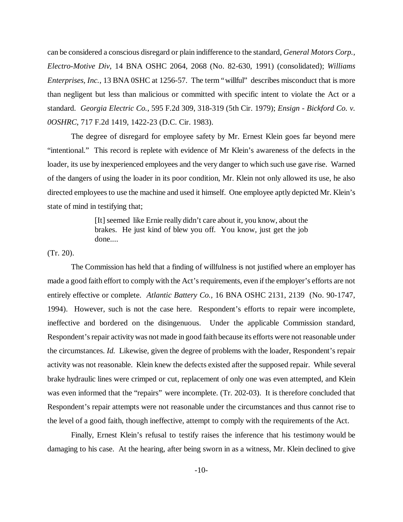can be considered a conscious disregard or plain indifference to the standard, *General Motors Corp., Electro-Motive Div*, 14 BNA OSHC 2064, 2068 (No. 82-630, 1991) (consolidated); *Williams Enterprises, Inc.*, 13 BNA 0SHC at 1256-57. The term "willful" describes misconduct that is more than negligent but less than malicious or committed with specific intent to violate the Act or a standard. *Georgia Electric Co.*, 595 F.2d 309, 318-319 (5th Cir. 1979); *Ensign - Bickford Co. v. 0OSHRC*, 717 F.2d 1419, 1422-23 (D.C. Cir. 1983).

The degree of disregard for employee safety by Mr. Ernest Klein goes far beyond mere "intentional." This record is replete with evidence of Mr Klein's awareness of the defects in the loader, its use by inexperienced employees and the very danger to which such use gave rise. Warned of the dangers of using the loader in its poor condition, Mr. Klein not only allowed its use, he also directed employees to use the machine and used it himself. One employee aptly depicted Mr. Klein's state of mind in testifying that;

> [It] seemed like Ernie really didn't care about it, you know, about the brakes. He just kind of blew you off. You know, just get the job done....

## (Tr. 20).

The Commission has held that a finding of willfulness is not justified where an employer has made a good faith effort to comply with the Act's requirements, even if the employer's efforts are not entirely effective or complete. *Atlantic Battery Co.,* 16 BNA OSHC 2131, 2139 (No. 90-1747, 1994). However, such is not the case here. Respondent's efforts to repair were incomplete, ineffective and bordered on the disingenuous. Under the applicable Commission standard, Respondent's repair activity was not made in good faith because its efforts were not reasonable under the circumstances. *Id.* Likewise, given the degree of problems with the loader, Respondent's repair activity was not reasonable. Klein knew the defects existed after the supposed repair. While several brake hydraulic lines were crimped or cut, replacement of only one was even attempted, and Klein was even informed that the "repairs" were incomplete. (Tr. 202-03). It is therefore concluded that Respondent's repair attempts were not reasonable under the circumstances and thus cannot rise to the level of a good faith, though ineffective, attempt to comply with the requirements of the Act.

 Finally, Ernest Klein's refusal to testify raises the inference that his testimony would be damaging to his case. At the hearing, after being sworn in as a witness, Mr. Klein declined to give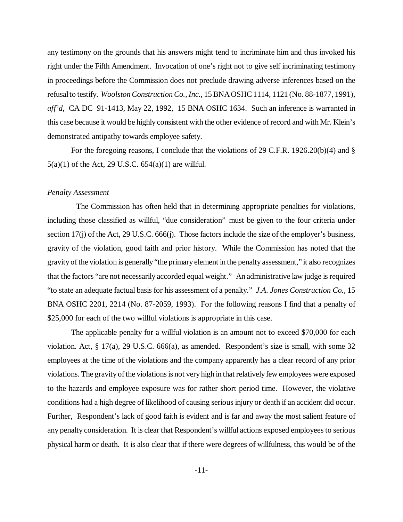any testimony on the grounds that his answers might tend to incriminate him and thus invoked his right under the Fifth Amendment. Invocation of one's right not to give self incriminating testimony in proceedings before the Commission does not preclude drawing adverse inferences based on the refusal to testify. *Woolston Construction Co., Inc.*, 15 BNA OSHC 1114, 1121 (No. 88-1877, 1991), *aff'd*, CA DC 91-1413, May 22, 1992, 15 BNA OSHC 1634. Such an inference is warranted in this case because it would be highly consistent with the other evidence of record and with Mr. Klein's demonstrated antipathy towards employee safety.

For the foregoing reasons, I conclude that the violations of 29 C.F.R. 1926.20(b)(4) and § 5(a)(1) of the Act, 29 U.S.C. 654(a)(1) are willful.

#### *Penalty Assessment*

 The Commission has often held that in determining appropriate penalties for violations, including those classified as willful, "due consideration" must be given to the four criteria under section 17(j) of the Act, 29 U.S.C. 666(j). Those factors include the size of the employer's business, gravity of the violation, good faith and prior history. While the Commission has noted that the gravity of the violation is generally "the primary element in the penalty assessment," it also recognizes that the factors "are not necessarily accorded equal weight." An administrative law judge is required "to state an adequate factual basis for his assessment of a penalty." *J.A. Jones Construction Co.,* 15 BNA OSHC 2201, 2214 (No. 87-2059, 1993). For the following reasons I find that a penalty of \$25,000 for each of the two willful violations is appropriate in this case.

The applicable penalty for a willful violation is an amount not to exceed \$70,000 for each violation. Act, § 17(a), 29 U.S.C. 666(a), as amended. Respondent's size is small, with some 32 employees at the time of the violations and the company apparently has a clear record of any prior violations. The gravity of the violations is not very high in that relatively few employees were exposed to the hazards and employee exposure was for rather short period time. However, the violative conditions had a high degree of likelihood of causing serious injury or death if an accident did occur. Further, Respondent's lack of good faith is evident and is far and away the most salient feature of any penalty consideration. It is clear that Respondent's willful actions exposed employees to serious physical harm or death. It is also clear that if there were degrees of willfulness, this would be of the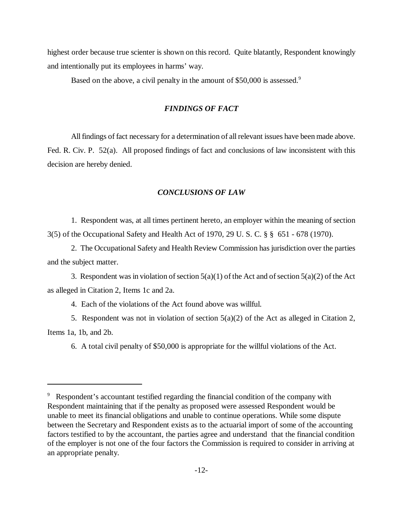highest order because true scienter is shown on this record. Quite blatantly, Respondent knowingly and intentionally put its employees in harms' way.

Based on the above, a civil penalty in the amount of \$50,000 is assessed.<sup>9</sup>

## *FINDINGS OF FACT*

All findings of fact necessary for a determination of all relevant issues have been made above. Fed. R. Civ. P. 52(a). All proposed findings of fact and conclusions of law inconsistent with this decision are hereby denied.

## *CONCLUSIONS OF LAW*

1. Respondent was, at all times pertinent hereto, an employer within the meaning of section 3(5) of the Occupational Safety and Health Act of 1970, 29 U. S. C. § § 651 - 678 (1970).

2. The Occupational Safety and Health Review Commission has jurisdiction over the parties and the subject matter.

3. Respondent was in violation of section  $5(a)(1)$  of the Act and of section  $5(a)(2)$  of the Act as alleged in Citation 2, Items 1c and 2a.

4. Each of the violations of the Act found above was willful.

5. Respondent was not in violation of section  $5(a)(2)$  of the Act as alleged in Citation 2, Items 1a, 1b, and 2b.

6. A total civil penalty of \$50,000 is appropriate for the willful violations of the Act.

<sup>&</sup>lt;sup>9</sup> Respondent's accountant testified regarding the financial condition of the company with Respondent maintaining that if the penalty as proposed were assessed Respondent would be unable to meet its financial obligations and unable to continue operations. While some dispute between the Secretary and Respondent exists as to the actuarial import of some of the accounting factors testified to by the accountant, the parties agree and understand that the financial condition of the employer is not one of the four factors the Commission is required to consider in arriving at an appropriate penalty.